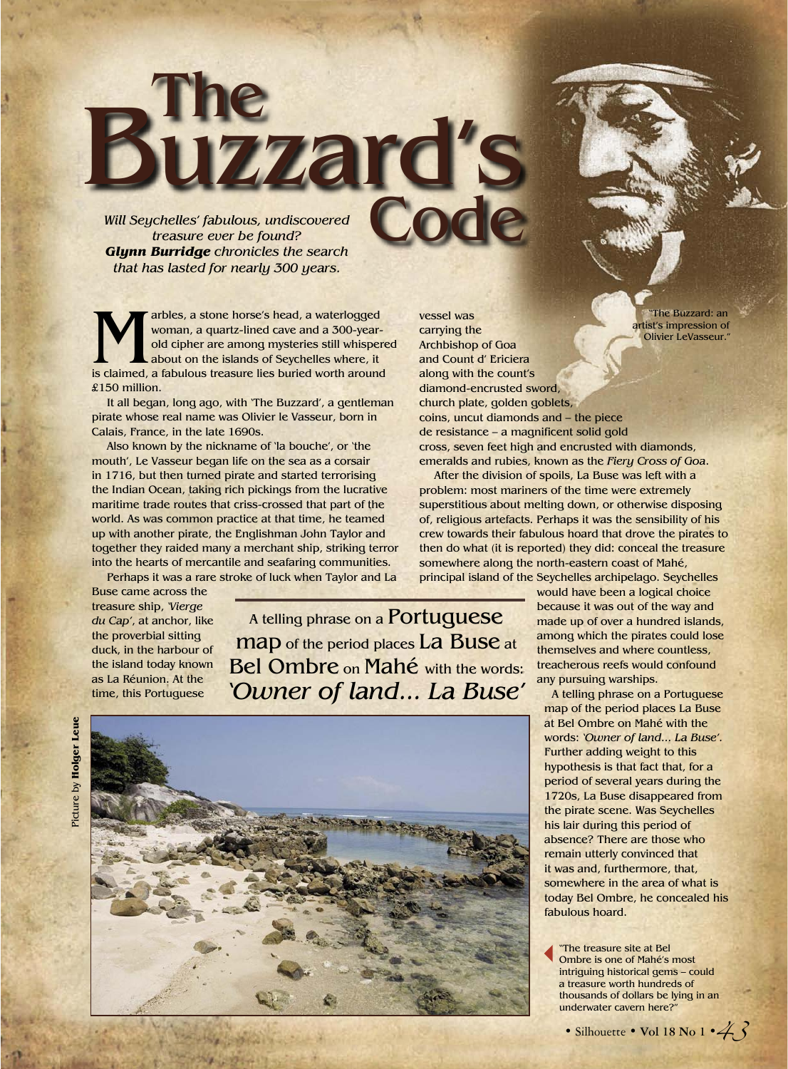*Will Seychelles' fabulous, undiscovered treasure ever be found? Glynn Burridge chronicles the search that has lasted for nearly 300 years.*

The

Buzzard's

arbles, a stone horse's head, a waterlogged<br>woman, a quartz-lined cave and a 300-year-<br>old cipher are among mysteries still whisper<br>about on the islands of Seychelles where, it<br>is claimed, a fabulous treasure lies buried w woman, a quartz-lined cave and a 300-yearold cipher are among mysteries still whispered about on the islands of Seychelles where, it is claimed, a fabulous treasure lies buried worth around £150 million.

It all began, long ago, with 'The Buzzard', a gentleman pirate whose real name was Olivier le Vasseur, born in Calais, France, in the late 1690s.

Also known by the nickname of 'la bouche', or 'the mouth', Le Vasseur began life on the sea as a corsair in 1716, but then turned pirate and started terrorising the Indian Ocean, taking rich pickings from the lucrative maritime trade routes that criss-crossed that part of the world. As was common practice at that time, he teamed up with another pirate, the Englishman John Taylor and together they raided many a merchant ship, striking terror into the hearts of mercantile and seafaring communities.

Perhaps it was a rare stroke of luck when Taylor and La

Buse came across the treasure ship, *'Vierge du Cap'*, at anchor, like the proverbial sitting duck, in the harbour of the island today known as La Réunion. At the time, this Portuguese

A telling phrase on a Portuguese map of the period places La Buse at Bel Ombre on Mahé with the words: *'Owner of land... La Buse'*

vessel was carrying the

Code



Archbishop of Goa and Count d' Ericiera along with the count's diamond-encrusted sword, church plate, golden goblets, The Buzzard: an artist's impression of Olivier LeVasseur."

coins, uncut diamonds and – the piece de resistance – a magnificent solid gold cross, seven feet high and encrusted with diamonds, emeralds and rubies, known as the *Fiery Cross of Goa*.

After the division of spoils, La Buse was left with a problem: most mariners of the time were extremely superstitious about melting down, or otherwise disposing of, religious artefacts. Perhaps it was the sensibility of his crew towards their fabulous hoard that drove the pirates to then do what (it is reported) they did: conceal the treasure somewhere along the north-eastern coast of Mahé, principal island of the Seychelles archipelago. Seychelles

would have been a logical choice because it was out of the way and made up of over a hundred islands, among which the pirates could lose themselves and where countless, treacherous reefs would confound any pursuing warships.

A telling phrase on a Portuguese map of the period places La Buse at Bel Ombre on Mahé with the words: *'Owner of land... La Buse'.* Further adding weight to this hypothesis is that fact that, for a period of several years during the 1720s, La Buse disappeared from the pirate scene. Was Seychelles his lair during this period of absence? There are those who remain utterly convinced that it was and, furthermore, that, somewhere in the area of what is today Bel Ombre, he concealed his fabulous hoard.

"The treasure site at Bel Ombre is one of Mahé's most intriguing historical gems – could a treasure worth hundreds of thousands of dollars be lying in an underwater cavern here?"

• Silhouette • **Vol 18 No 1** • 4 3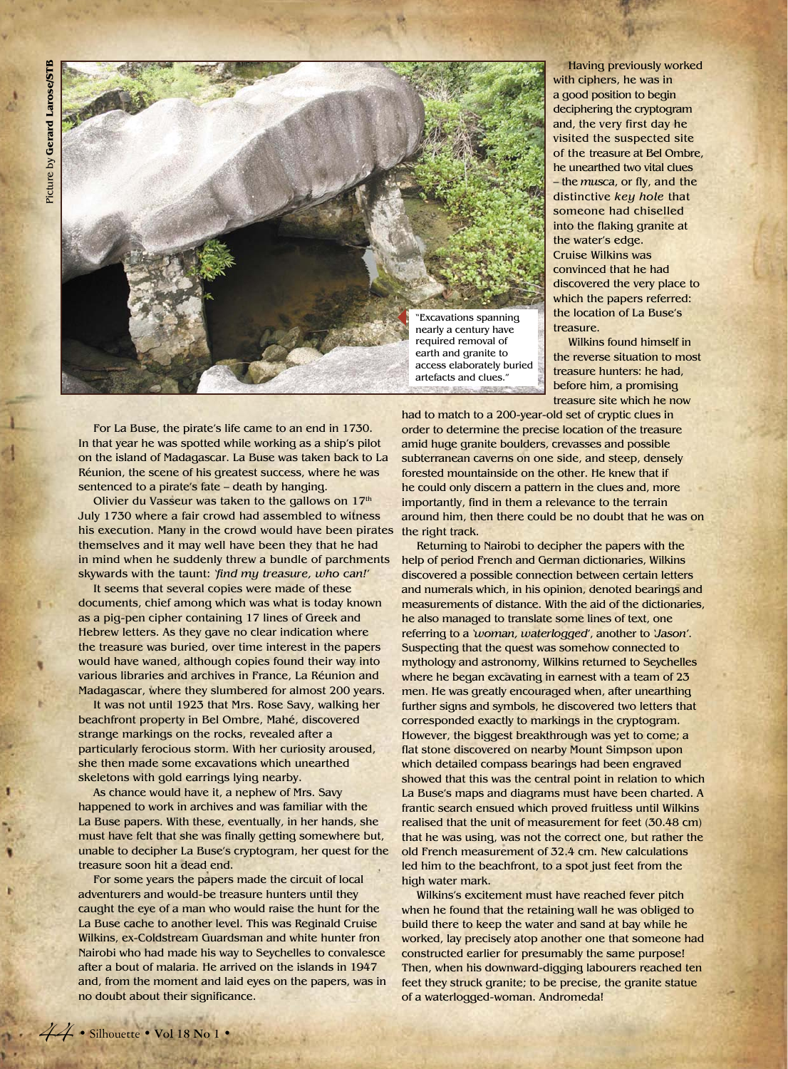

Having previously worked with ciphers, he was in a good position to begin deciphering the cryptogram and, the very first day he visited the suspected site of the treasure at Bel Ombre, he unearthed two vital clues – the *musca*, or fly, and the distinctive *key hole* that someone had chiselled into the flaking granite at the water's edge. Cruise Wilkins was convinced that he had discovered the very place to which the papers referred: the location of La Buse's treasure.

Wilkins found himself in the reverse situation to most treasure hunters: he had, before him, a promising treasure site which he now

For La Buse, the pirate's life came to an end in 1730. In that year he was spotted while working as a ship's pilot on the island of Madagascar. La Buse was taken back to La Réunion, the scene of his greatest success, where he was sentenced to a pirate's fate – death by hanging.

Olivier du Vasseur was taken to the gallows on 17<sup>th</sup> July 1730 where a fair crowd had assembled to witness his execution. Many in the crowd would have been pirates themselves and it may well have been they that he had in mind when he suddenly threw a bundle of parchments skywards with the taunt: *'find my treasure, who can!'*

It seems that several copies were made of these documents, chief among which was what is today known as a pig-pen cipher containing 17 lines of Greek and Hebrew letters. As they gave no clear indication where the treasure was buried, over time interest in the papers would have waned, although copies found their way into various libraries and archives in France, La Réunion and Madagascar, where they slumbered for almost 200 years.

It was not until 1923 that Mrs. Rose Savy, walking her beachfront property in Bel Ombre, Mahé, discovered strange markings on the rocks, revealed after a particularly ferocious storm. With her curiosity aroused, she then made some excavations which unearthed skeletons with gold earrings lying nearby.

As chance would have it, a nephew of Mrs. Savy happened to work in archives and was familiar with the La Buse papers. With these, eventually, in her hands, she must have felt that she was finally getting somewhere but, unable to decipher La Buse's cryptogram, her quest for the treasure soon hit a dead end.

For some years the papers made the circuit of local adventurers and would-be treasure hunters until they caught the eye of a man who would raise the hunt for the La Buse cache to another level. This was Reginald Cruise Wilkins, ex-Coldstream Guardsman and white hunter fron Nairobi who had made his way to Seychelles to convalesce after a bout of malaria. He arrived on the islands in 1947 and, from the moment and laid eyes on the papers, was in no doubt about their significance.

had to match to a 200-year-old set of cryptic clues in order to determine the precise location of the treasure amid huge granite boulders, crevasses and possible subterranean caverns on one side, and steep, densely forested mountainside on the other. He knew that if he could only discern a pattern in the clues and, more importantly, find in them a relevance to the terrain around him, then there could be no doubt that he was on the right track.

Returning to Nairobi to decipher the papers with the help of period French and German dictionaries, Wilkins discovered a possible connection between certain letters and numerals which, in his opinion, denoted bearings and measurements of distance. With the aid of the dictionaries, he also managed to translate some lines of text, one referring to a *'woman, waterlogged'*, another to *'Jason'*. Suspecting that the quest was somehow connected to mythology and astronomy, Wilkins returned to Seychelles where he began excavating in earnest with a team of 23 men. He was greatly encouraged when, after unearthing further signs and symbols, he discovered two letters that corresponded exactly to markings in the cryptogram. However, the biggest breakthrough was yet to come; a flat stone discovered on nearby Mount Simpson upon which detailed compass bearings had been engraved showed that this was the central point in relation to which La Buse's maps and diagrams must have been charted. A frantic search ensued which proved fruitless until Wilkins realised that the unit of measurement for feet (30.48 cm) that he was using, was not the correct one, but rather the old French measurement of 32.4 cm. New calculations led him to the beachfront, to a spot just feet from the high water mark.

Wilkins's excitement must have reached fever pitch when he found that the retaining wall he was obliged to build there to keep the water and sand at bay while he worked, lay precisely atop another one that someone had constructed earlier for presumably the same purpose! Then, when his downward-digging labourers reached ten feet they struck granite; to be precise, the granite statue of a waterlogged-woman. Andromeda!